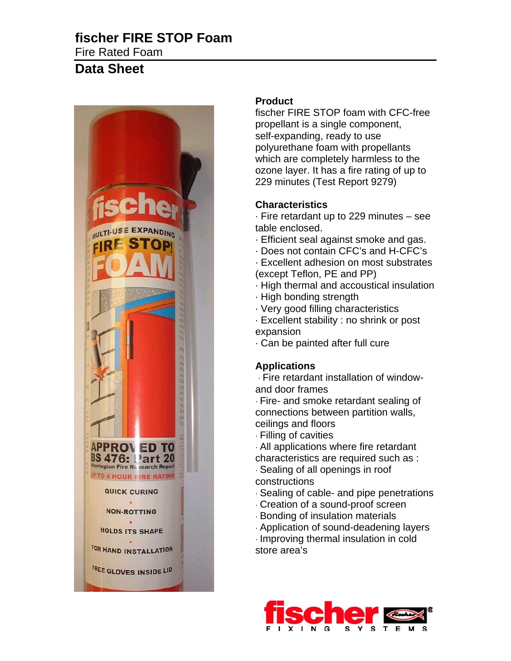## **fischer FIRE STOP Foam**  Fire Rated Foam

# **Data Sheet**



## **Product**

fischer FIRE STOP foam with CFC-free propellant is a single component, self-expanding, ready to use polyurethane foam with propellants which are completely harmless to the ozone layer. It has a fire rating of up to 229 minutes (Test Report 9279)

## **Characteristics**

· Fire retardant up to 229 minutes – see table enclosed.

- · Efficient seal against smoke and gas.
- · Does not contain CFC's and H-CFC's
- · Excellent adhesion on most substrates (except Teflon, PE and PP)
- · High thermal and accoustical insulation
- · High bonding strength
- · Very good filling characteristics
- · Excellent stability : no shrink or post expansion
- · Can be painted after full cure

### **Applications**

· Fire retardant installation of windowand door frames

· Fire- and smoke retardant sealing of connections between partition walls, ceilings and floors

· Filling of cavities

· All applications where fire retardant characteristics are required such as :

· Sealing of all openings in roof constructions

- · Sealing of cable- and pipe penetrations
- · Creation of a sound-proof screen
- · Bonding of insulation materials
- · Application of sound-deadening layers

· Improving thermal insulation in cold store area's

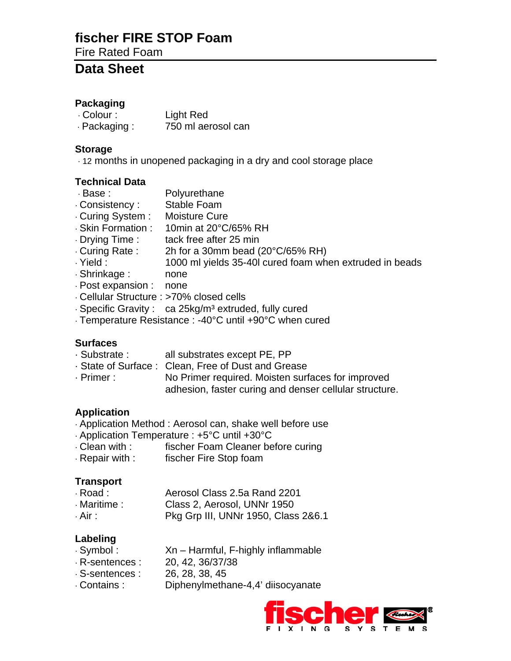# **fischer FIRE STOP Foam**

Fire Rated Foam

## **Data Sheet**

#### **Packaging**

· Colour : Light Red · Packaging : 750 ml aerosol can

#### **Storage**

· 12 months in unopened packaging in a dry and cool storage place

#### **Technical Data**

- · Base : Polyurethane
- · Consistency : Stable Foam
- · Curing System : Moisture Cure
- · Skin Formation : 10min at 20°C/65% RH
- · Drying Time : tack free after 25 min<br>· Curing Rate : 2h for a 30mm bead (
- 2h for a 30mm bead (20 $^{\circ}$ C/65% RH)
- · Yield : 1000 ml yields 35-40l cured foam when extruded in beads
- · Shrinkage : none
- · Post expansion : none
- · Cellular Structure : >70% closed cells
- · Specific Gravity : ca 25kg/m<sup>3</sup> extruded, fully cured
- · Temperature Resistance : -40°C until +90°C when cured

### **Surfaces**

- · Substrate : all substrates except PE, PP
- · State of Surface : Clean, Free of Dust and Grease
- · Primer : No Primer required. Moisten surfaces for improved adhesion, faster curing and denser cellular structure.

### **Application**

- · Application Method : Aerosol can, shake well before use
- · Application Temperature : +5°C until +30°C
- · Clean with : fischer Foam Cleaner before curing
- · Repair with : fischer Fire Stop foam

### **Transport**

| · Road :     | Aerosol Class 2.5a Rand 2201        |  |  |
|--------------|-------------------------------------|--|--|
| · Maritime : | Class 2, Aerosol, UNNr 1950         |  |  |
| . Air :      | Pkg Grp III, UNNr 1950, Class 2&6.1 |  |  |

### **Labeling**

- · Symbol : Xn Harmful, F-highly inflammable
- · R-sentences : 20, 42, 36/37/38
- · S-sentences : 26, 28, 38, 45
- · Contains : Diphenylmethane-4,4' diisocyanate

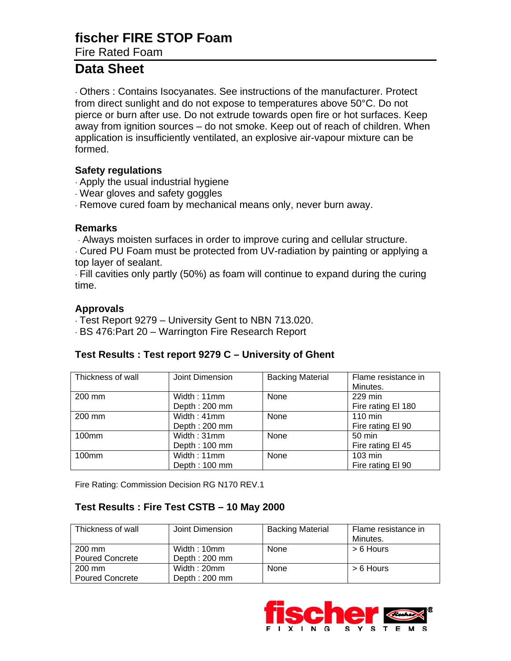# **fischer FIRE STOP Foam**

Fire Rated Foam

# **Data Sheet**

· Others : Contains Isocyanates. See instructions of the manufacturer. Protect from direct sunlight and do not expose to temperatures above 50°C. Do not pierce or burn after use. Do not extrude towards open fire or hot surfaces. Keep away from ignition sources – do not smoke. Keep out of reach of children. When application is insufficiently ventilated, an explosive air-vapour mixture can be formed.

#### **Safety regulations**

- · Apply the usual industrial hygiene
- · Wear gloves and safety goggles
- · Remove cured foam by mechanical means only, never burn away.

#### **Remarks**

· Always moisten surfaces in order to improve curing and cellular structure.

· Cured PU Foam must be protected from UV-radiation by painting or applying a top layer of sealant.

· Fill cavities only partly (50%) as foam will continue to expand during the curing time.

#### **Approvals**

- · Test Report 9279 University Gent to NBN 713.020.
- · BS 476:Part 20 Warrington Fire Research Report

### **Test Results : Test report 9279 C – University of Ghent**

| Thickness of wall | Joint Dimension | <b>Backing Material</b> | Flame resistance in |
|-------------------|-----------------|-------------------------|---------------------|
|                   |                 |                         | Minutes.            |
| 200 mm            | Width: 11mm     | None                    | 229 min             |
|                   | Depth: 200 mm   |                         | Fire rating El 180  |
| 200 mm            | Width: 41mm     | None                    | 110 min             |
|                   | Depth: 200 mm   |                         | Fire rating El 90   |
| 100mm             | Width: 31mm     | None                    | $50 \text{ min}$    |
|                   | Depth: 100 mm   |                         | Fire rating El 45   |
| $100$ mm          | Width: 11mm     | None                    | $103 \text{ min}$   |
|                   | Depth: 100 mm   |                         | Fire rating El 90   |

Fire Rating: Commission Decision RG N170 REV.1

#### **Test Results : Fire Test CSTB – 10 May 2000**

| Thickness of wall      | Joint Dimension | <b>Backing Material</b> | Flame resistance in |
|------------------------|-----------------|-------------------------|---------------------|
|                        |                 |                         | Minutes.            |
| 200 mm                 | Width: 10mm     | None                    | $> 6$ Hours         |
| <b>Poured Concrete</b> | Depth: 200 mm   |                         |                     |
| 200 mm                 | Width: 20mm     | None                    | $> 6$ Hours         |
| <b>Poured Concrete</b> | Depth: 200 mm   |                         |                     |